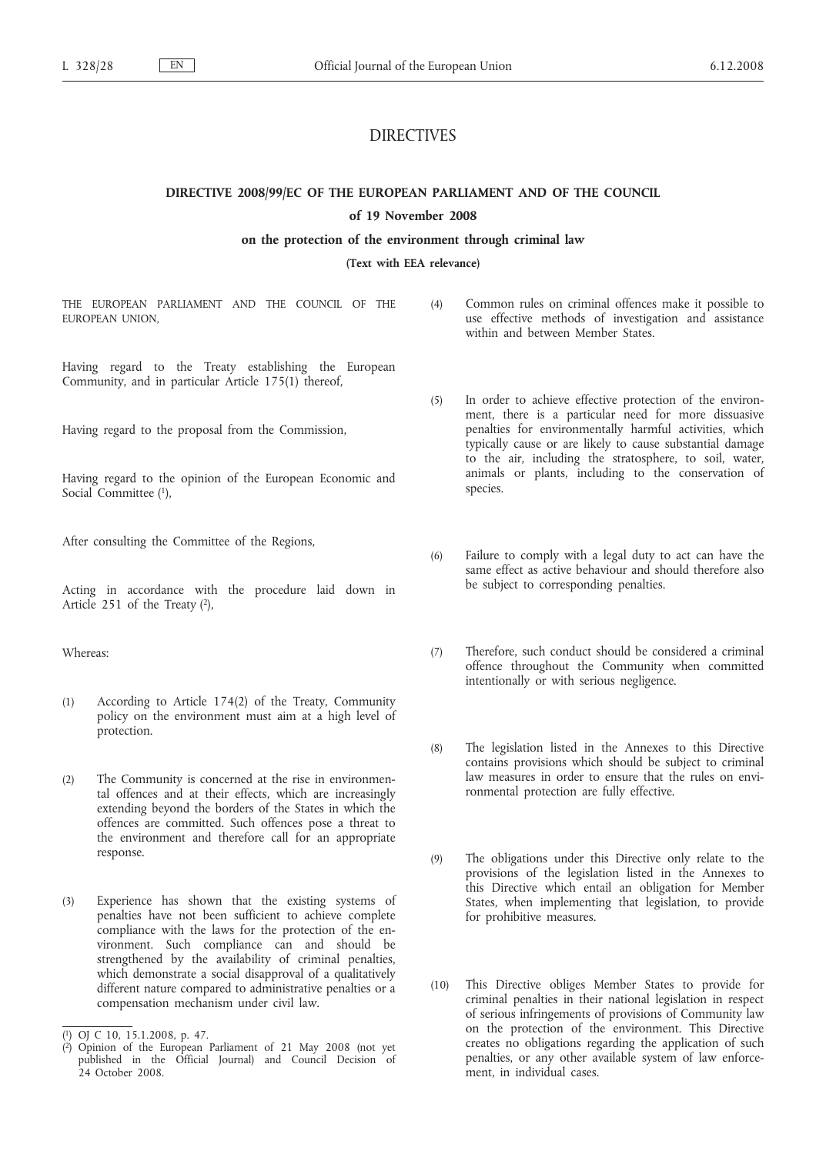# DIRECTIVES

**DIRECTIVE 2008/99/EC OF THE EUROPEAN PARLIAMENT AND OF THE COUNCIL**

## **of 19 November 2008**

### **on the protection of the environment through criminal law**

### **(Text with EEA relevance)**

THE EUROPEAN PARLIAMENT AND THE COUNCIL OF THE EUROPEAN UNION,

Having regard to the Treaty establishing the European Community, and in particular Article 175(1) thereof,

Having regard to the proposal from the Commission,

Having regard to the opinion of the European Economic and Social Committee (1),

After consulting the Committee of the Regions,

Acting in accordance with the procedure laid down in Article 251 of the Treaty (2),

Whereas:

- (1) According to Article 174(2) of the Treaty, Community policy on the environment must aim at a high level of protection.
- (2) The Community is concerned at the rise in environmental offences and at their effects, which are increasingly extending beyond the borders of the States in which the offences are committed. Such offences pose a threat to the environment and therefore call for an appropriate response.
- (3) Experience has shown that the existing systems of penalties have not been sufficient to achieve complete compliance with the laws for the protection of the environment. Such compliance can and should be strengthened by the availability of criminal penalties, which demonstrate a social disapproval of a qualitatively different nature compared to administrative penalties or a compensation mechanism under civil law.
- (4) Common rules on criminal offences make it possible to use effective methods of investigation and assistance within and between Member States.
- (5) In order to achieve effective protection of the environment, there is a particular need for more dissuasive penalties for environmentally harmful activities, which typically cause or are likely to cause substantial damage to the air, including the stratosphere, to soil, water, animals or plants, including to the conservation of species.
- (6) Failure to comply with a legal duty to act can have the same effect as active behaviour and should therefore also be subject to corresponding penalties.
- (7) Therefore, such conduct should be considered a criminal offence throughout the Community when committed intentionally or with serious negligence.
- (8) The legislation listed in the Annexes to this Directive contains provisions which should be subject to criminal law measures in order to ensure that the rules on environmental protection are fully effective.
- (9) The obligations under this Directive only relate to the provisions of the legislation listed in the Annexes to this Directive which entail an obligation for Member States, when implementing that legislation, to provide for prohibitive measures.
- (10) This Directive obliges Member States to provide for criminal penalties in their national legislation in respect of serious infringements of provisions of Community law on the protection of the environment. This Directive creates no obligations regarding the application of such penalties, or any other available system of law enforcement, in individual cases.

<sup>(</sup> 1) OJ C 10, 15.1.2008, p. 47.

<sup>(</sup> 2) Opinion of the European Parliament of 21 May 2008 (not yet published in the Official Journal) and Council Decision of 24 October 2008.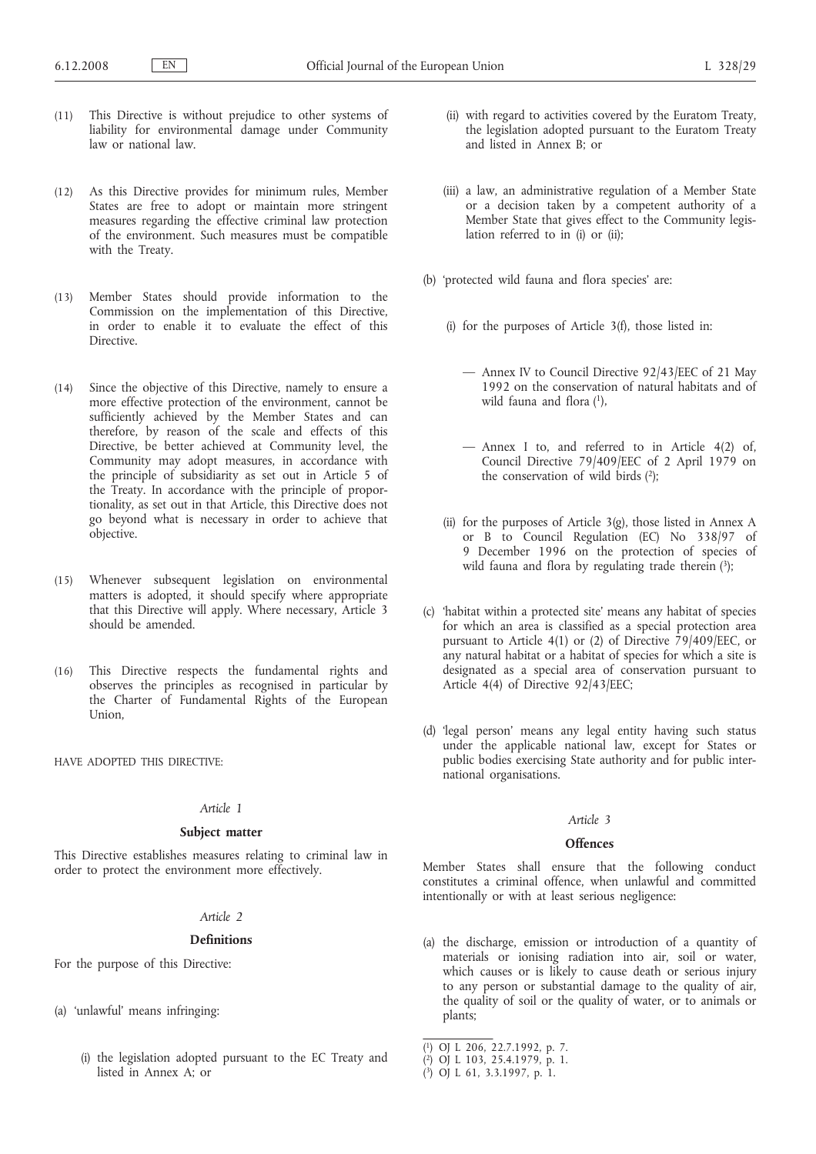- (11) This Directive is without prejudice to other systems of liability for environmental damage under Community law or national law.
- (12) As this Directive provides for minimum rules, Member States are free to adopt or maintain more stringent measures regarding the effective criminal law protection of the environment. Such measures must be compatible with the Treaty.
- (13) Member States should provide information to the Commission on the implementation of this Directive, in order to enable it to evaluate the effect of this Directive.
- (14) Since the objective of this Directive, namely to ensure a more effective protection of the environment, cannot be sufficiently achieved by the Member States and can therefore, by reason of the scale and effects of this Directive, be better achieved at Community level, the Community may adopt measures, in accordance with the principle of subsidiarity as set out in Article 5 of the Treaty. In accordance with the principle of proportionality, as set out in that Article, this Directive does not go beyond what is necessary in order to achieve that objective.
- (15) Whenever subsequent legislation on environmental matters is adopted, it should specify where appropriate that this Directive will apply. Where necessary, Article 3 should be amended.
- (16) This Directive respects the fundamental rights and observes the principles as recognised in particular by the Charter of Fundamental Rights of the European Union,

HAVE ADOPTED THIS DIRECTIVE:

## *Article 1*

### **Subject matter**

This Directive establishes measures relating to criminal law in order to protect the environment more effectively.

### *Article 2*

### **Definitions**

For the purpose of this Directive:

- (a) 'unlawful' means infringing:
	- (i) the legislation adopted pursuant to the EC Treaty and listed in Annex A; or
- (ii) with regard to activities covered by the Euratom Treaty, the legislation adopted pursuant to the Euratom Treaty and listed in Annex B; or
- (iii) a law, an administrative regulation of a Member State or a decision taken by a competent authority of a Member State that gives effect to the Community legislation referred to in (i) or (ii);
- (b) 'protected wild fauna and flora species' are:
	- (i) for the purposes of Article 3(f), those listed in:
		- Annex IV to Council Directive 92/43/EEC of 21 May 1992 on the conservation of natural habitats and of wild fauna and flora (1),
		- Annex I to, and referred to in Article 4(2) of, Council Directive 79/409/EEC of 2 April 1979 on the conservation of wild birds (2);
	- (ii) for the purposes of Article 3(g), those listed in Annex A or B to Council Regulation (EC) No 338/97 of 9 December 1996 on the protection of species of wild fauna and flora by regulating trade therein  $(3)$ ;
- (c) 'habitat within a protected site' means any habitat of species for which an area is classified as a special protection area pursuant to Article 4(1) or (2) of Directive 79/409/EEC, or any natural habitat or a habitat of species for which a site is designated as a special area of conservation pursuant to Article 4(4) of Directive 92/43/EEC;
- (d) 'legal person' means any legal entity having such status under the applicable national law, except for States or public bodies exercising State authority and for public international organisations.

## *Article 3*

## **Offences**

Member States shall ensure that the following conduct constitutes a criminal offence, when unlawful and committed intentionally or with at least serious negligence:

(a) the discharge, emission or introduction of a quantity of materials or ionising radiation into air, soil or water, which causes or is likely to cause death or serious injury to any person or substantial damage to the quality of air, the quality of soil or the quality of water, or to animals or plants;

<sup>(</sup> 1) OJ L 206, 22.7.1992, p. 7.

<sup>(</sup> 2) OJ L 103, 25.4.1979, p. 1.

<sup>(</sup> 3) OJ L 61, 3.3.1997, p. 1.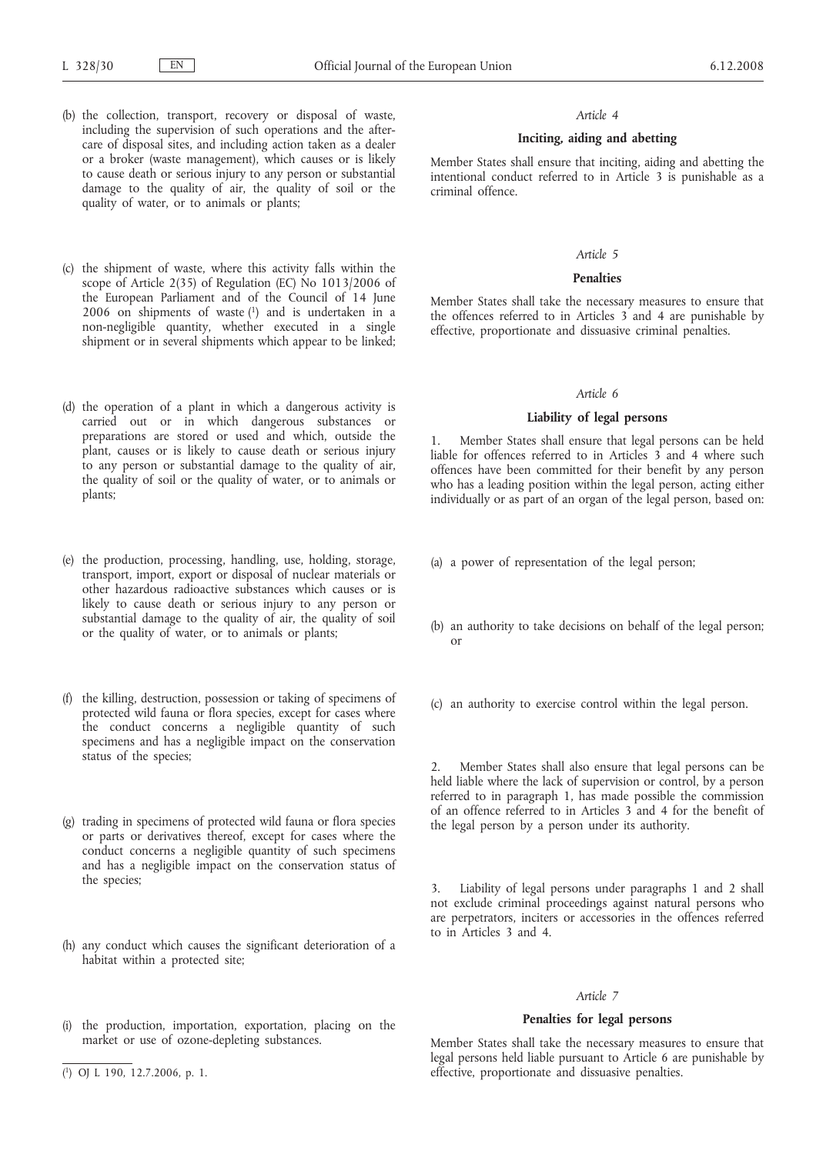- (b) the collection, transport, recovery or disposal of waste, including the supervision of such operations and the aftercare of disposal sites, and including action taken as a dealer or a broker (waste management), which causes or is likely to cause death or serious injury to any person or substantial damage to the quality of air, the quality of soil or the quality of water, or to animals or plants;
- (c) the shipment of waste, where this activity falls within the scope of Article 2(35) of Regulation (EC) No 1013/2006 of the European Parliament and of the Council of 14 June 2006 on shipments of waste (1) and is undertaken in a non-negligible quantity, whether executed in a single shipment or in several shipments which appear to be linked;
- (d) the operation of a plant in which a dangerous activity is carried out or in which dangerous substances or preparations are stored or used and which, outside the plant, causes or is likely to cause death or serious injury to any person or substantial damage to the quality of air, the quality of soil or the quality of water, or to animals or plants;
- (e) the production, processing, handling, use, holding, storage, transport, import, export or disposal of nuclear materials or other hazardous radioactive substances which causes or is likely to cause death or serious injury to any person or substantial damage to the quality of air, the quality of soil or the quality of water, or to animals or plants;
- (f) the killing, destruction, possession or taking of specimens of protected wild fauna or flora species, except for cases where the conduct concerns a negligible quantity of such specimens and has a negligible impact on the conservation status of the species;
- (g) trading in specimens of protected wild fauna or flora species or parts or derivatives thereof, except for cases where the conduct concerns a negligible quantity of such specimens and has a negligible impact on the conservation status of the species;
- (h) any conduct which causes the significant deterioration of a habitat within a protected site;
- (i) the production, importation, exportation, placing on the market or use of ozone-depleting substances.
- ( 1) OJ L 190, 12.7.2006, p. 1.

### *Article 4*

### **Inciting, aiding and abetting**

Member States shall ensure that inciting, aiding and abetting the intentional conduct referred to in Article 3 is punishable as a criminal offence.

### *Article 5*

## **Penalties**

Member States shall take the necessary measures to ensure that the offences referred to in Articles 3 and 4 are punishable by effective, proportionate and dissuasive criminal penalties.

#### *Article 6*

## **Liability of legal persons**

1. Member States shall ensure that legal persons can be held liable for offences referred to in Articles 3 and 4 where such offences have been committed for their benefit by any person who has a leading position within the legal person, acting either individually or as part of an organ of the legal person, based on:

- (a) a power of representation of the legal person;
- (b) an authority to take decisions on behalf of the legal person; or

(c) an authority to exercise control within the legal person.

Member States shall also ensure that legal persons can be held liable where the lack of supervision or control, by a person referred to in paragraph 1, has made possible the commission of an offence referred to in Articles 3 and 4 for the benefit of the legal person by a person under its authority.

3. Liability of legal persons under paragraphs 1 and 2 shall not exclude criminal proceedings against natural persons who are perpetrators, inciters or accessories in the offences referred to in Articles 3 and 4.

### *Article 7*

#### **Penalties for legal persons**

Member States shall take the necessary measures to ensure that legal persons held liable pursuant to Article 6 are punishable by effective, proportionate and dissuasive penalties.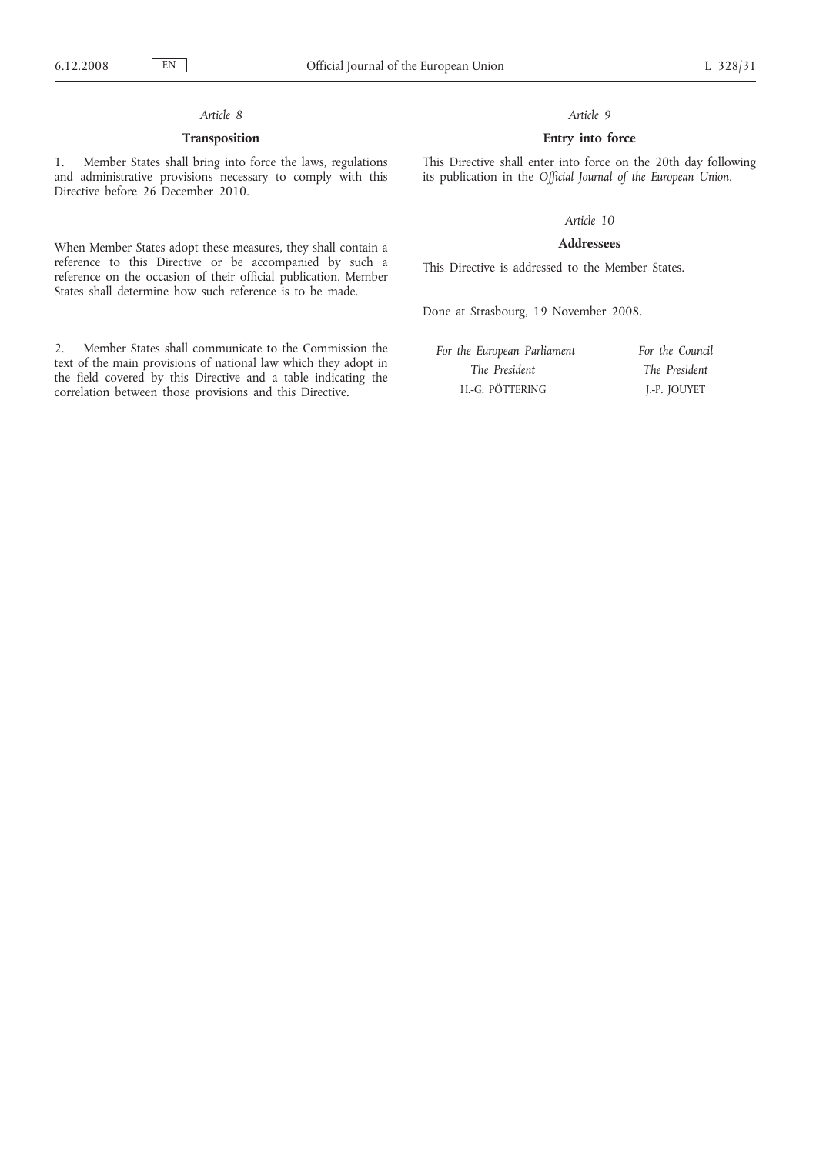## *Article 8*

## **Transposition**

1. Member States shall bring into force the laws, regulations and administrative provisions necessary to comply with this Directive before 26 December 2010.

When Member States adopt these measures, they shall contain a reference to this Directive or be accompanied by such a reference on the occasion of their official publication. Member States shall determine how such reference is to be made.

2. Member States shall communicate to the Commission the text of the main provisions of national law which they adopt in the field covered by this Directive and a table indicating the correlation between those provisions and this Directive.

### *Article 9*

## **Entry into force**

This Directive shall enter into force on the 20th day following its publication in the *Official Journal of the European Union*.

## *Article 10*

## **Addressees**

This Directive is addressed to the Member States.

Done at Strasbourg, 19 November 2008.

| For the European Parliament | For the Council |
|-----------------------------|-----------------|
| The President               | The President   |
| H.-G. PÖTTERING             | J.-P. JOUYET    |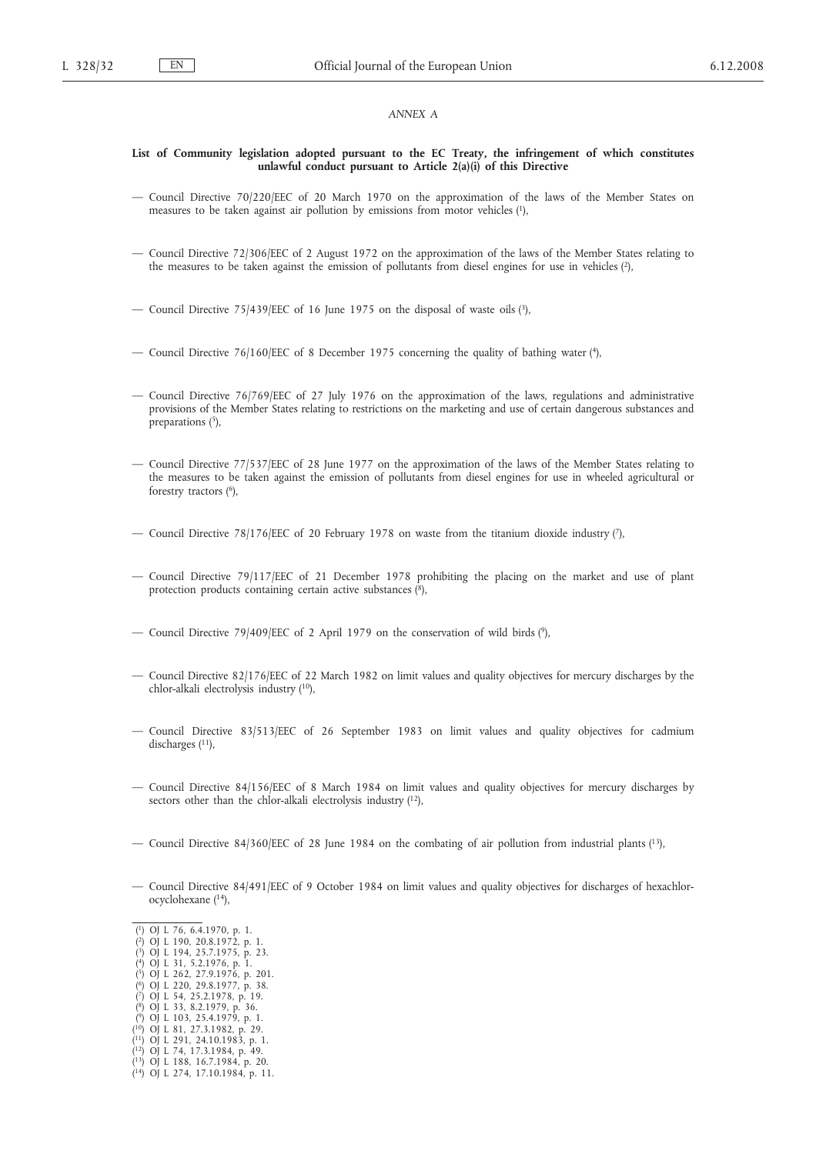### *ANNEX A*

#### **List of Community legislation adopted pursuant to the EC Treaty, the infringement of which constitutes unlawful conduct pursuant to Article 2(a)(i) of this Directive**

- Council Directive 70/220/EEC of 20 March 1970 on the approximation of the laws of the Member States on measures to be taken against air pollution by emissions from motor vehicles (1),
- Council Directive 72/306/EEC of 2 August 1972 on the approximation of the laws of the Member States relating to the measures to be taken against the emission of pollutants from diesel engines for use in vehicles (2),
- Council Directive 75/439/EEC of 16 June 1975 on the disposal of waste oils (3),
- Council Directive 76/160/EEC of 8 December 1975 concerning the quality of bathing water (4),
- Council Directive 76/769/EEC of 27 July 1976 on the approximation of the laws, regulations and administrative provisions of the Member States relating to restrictions on the marketing and use of certain dangerous substances and preparations  $(5)$ ,
- Council Directive 77/537/EEC of 28 June 1977 on the approximation of the laws of the Member States relating to the measures to be taken against the emission of pollutants from diesel engines for use in wheeled agricultural or forestry tractors (<sup>6</sup>),
- Council Directive 78/176/EEC of 20 February 1978 on waste from the titanium dioxide industry (7),
- Council Directive 79/117/EEC of 21 December 1978 prohibiting the placing on the market and use of plant protection products containing certain active substances (8),
- Council Directive 79/409/EEC of 2 April 1979 on the conservation of wild birds (9),
- Council Directive 82/176/EEC of 22 March 1982 on limit values and quality objectives for mercury discharges by the chlor-alkali electrolysis industry (10),
- Council Directive 83/513/EEC of 26 September 1983 on limit values and quality objectives for cadmium discharges (11),
- Council Directive 84/156/EEC of 8 March 1984 on limit values and quality objectives for mercury discharges by sectors other than the chlor-alkali electrolysis industry (12),
- Council Directive 84/360/EEC of 28 June 1984 on the combating of air pollution from industrial plants (13),
- Council Directive 84/491/EEC of 9 October 1984 on limit values and quality objectives for discharges of hexachlorocyclohexane (14),

- 
- 
- (<sup>3</sup>) OJ L 194, 25.7.1975, p. 23.<br>
(<sup>4</sup>) OJ L 262, 27.9.1976, p. 1.<br>
(<sup>5</sup>) OJ L 220, 29.8.1976, p. 201.<br>
(<sup>5</sup>) OJ L 220, 29.8.1977, p. 38.<br>
(<sup>7</sup>) OJ L 23, 25.2.1978, p. 19.<br>
(<sup>8</sup>) OJ L 33, 8.2.1979, p. 36.<br>
(<sup>3</sup>) OJ L 103,
- 
- 
- 
- 
- 
- 
- 

<sup>(</sup> 1) OJ L 76, 6.4.1970, p. 1. ( 2) OJ L 190, 20.8.1972, p. 1.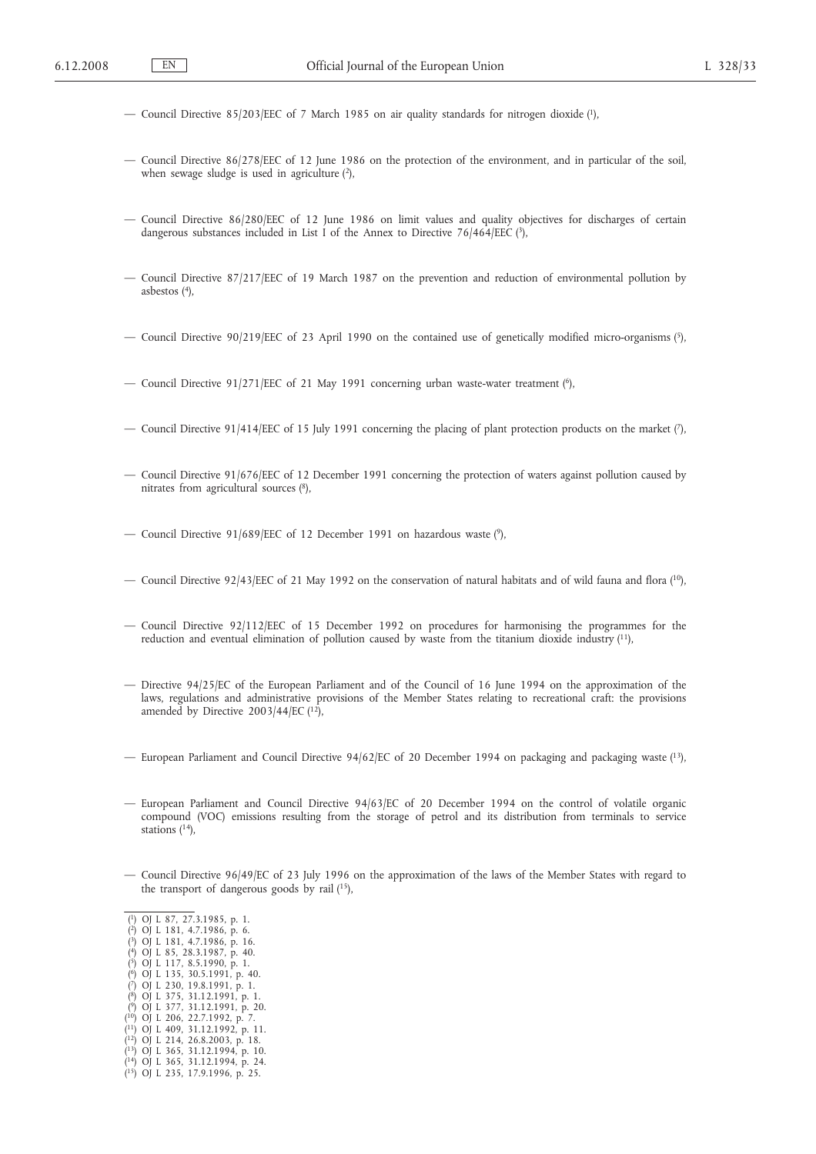— Council Directive 85/203/EEC of 7 March 1985 on air quality standards for nitrogen dioxide (1),

- Council Directive 86/278/EEC of 12 June 1986 on the protection of the environment, and in particular of the soil, when sewage sludge is used in agriculture  $(2)$ ,
- Council Directive 86/280/EEC of 12 June 1986 on limit values and quality objectives for discharges of certain dangerous substances included in List I of the Annex to Directive 76/464/EEC  $(3)$ ,
- Council Directive 87/217/EEC of 19 March 1987 on the prevention and reduction of environmental pollution by asbestos (4),
- Council Directive 90/219/EEC of 23 April 1990 on the contained use of genetically modified micro-organisms (5),
- Council Directive 91/271/EEC of 21 May 1991 concerning urban waste-water treatment (6),
- Council Directive 91/414/EEC of 15 July 1991 concerning the placing of plant protection products on the market  $\langle \hat{\cdot} \rangle$ ,
- Council Directive 91/676/EEC of 12 December 1991 concerning the protection of waters against pollution caused by nitrates from agricultural sources (8),
- Council Directive 91/689/EEC of 12 December 1991 on hazardous waste (9),
- Council Directive 92/43/EEC of 21 May 1992 on the conservation of natural habitats and of wild fauna and flora (10),
- Council Directive 92/112/EEC of 15 December 1992 on procedures for harmonising the programmes for the reduction and eventual elimination of pollution caused by waste from the titanium dioxide industry (11),
- Directive 94/25/EC of the European Parliament and of the Council of 16 June 1994 on the approximation of the laws, regulations and administrative provisions of the Member States relating to recreational craft: the provisions amended by Directive  $2003/44/EC$  (<sup>12</sup>),
- European Parliament and Council Directive 94/62/EC of 20 December 1994 on packaging and packaging waste (13),
- European Parliament and Council Directive 94/63/EC of 20 December 1994 on the control of volatile organic compound (VOC) emissions resulting from the storage of petrol and its distribution from terminals to service stations  $(14)$ ,
- Council Directive 96/49/EC of 23 July 1996 on the approximation of the laws of the Member States with regard to the transport of dangerous goods by rail  $(15)$ ,

- 
- ( 4) OJ L 85, 28.3.1987, p. 40. ( 5) OJ L 117, 8.5.1990, p. 1. ( 6) OJ L 135, 30.5.1991, p. 40. ( 7) OJ L 230, 19.8.1991, p. 1.
- 
- ( 8) OJ L 375, 31.12.1991, p. 1. ( 9) OJ L 377, 31.12.1991, p. 20.
- 
- 
- ( 10) OJ L 206, 22.7.1992, p. 7. ( 11) OJ L 409, 31.12.1992, p. 11. ( 12) OJ L 214, 26.8.2003, p. 18.
- ( 13) OJ L 365, 31.12.1994, p. 10.
- 
- ( 14) OJ L 365, 31.12.1994, p. 24. ( 15) OJ L 235, 17.9.1996, p. 25.

<sup>(</sup> 1) OJ L 87, 27.3.1985, p. 1.

<sup>(</sup> 2) OJ L 181, 4.7.1986, p. 6. ( 3) OJ L 181, 4.7.1986, p. 16.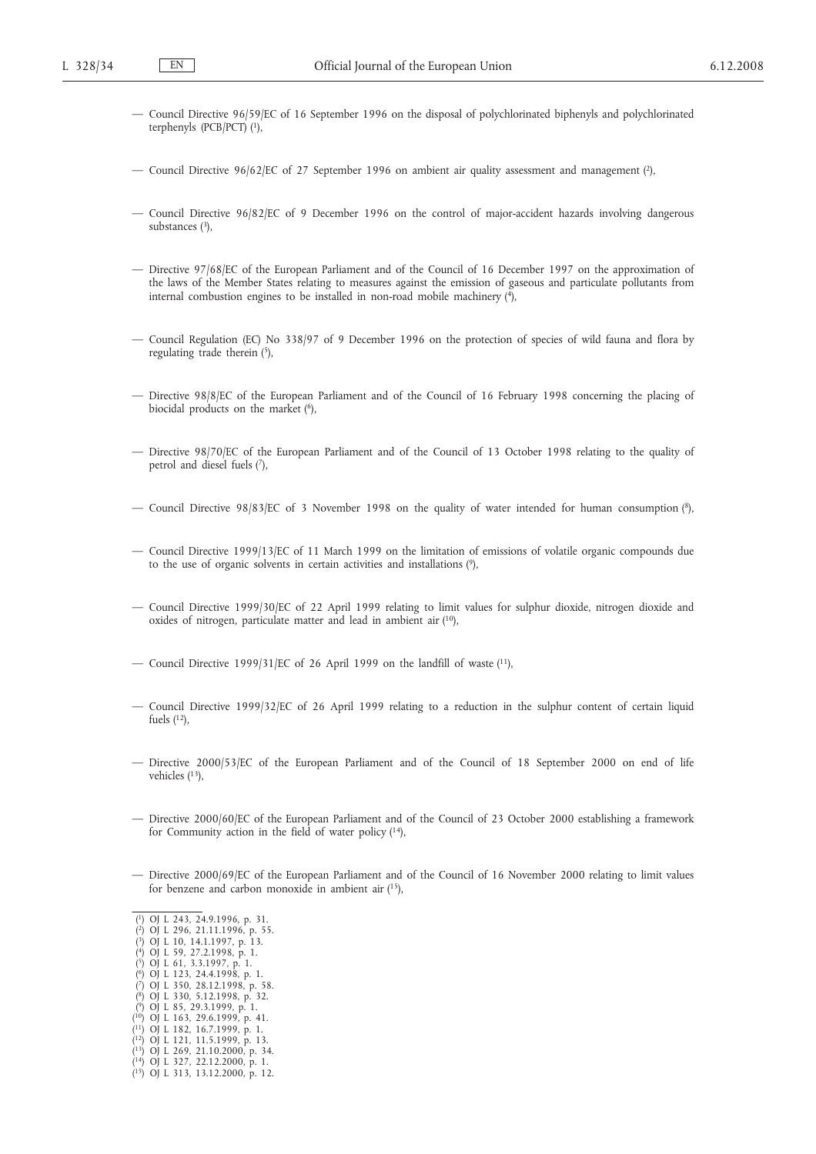- Council Directive 96/59/EC of 16 September 1996 on the disposal of polychlorinated biphenyls and polychlorinated terphenyls (PCB/PCT) (1),
- Council Directive 96/62/EC of 27 September 1996 on ambient air quality assessment and management (2),
- Council Directive 96/82/EC of 9 December 1996 on the control of major-accident hazards involving dangerous substances  $(3)$ .
- Directive 97/68/EC of the European Parliament and of the Council of 16 December 1997 on the approximation of the laws of the Member States relating to measures against the emission of gaseous and particulate pollutants from internal combustion engines to be installed in non-road mobile machinery  $(4)$ ,
- Council Regulation (EC) No 338/97 of 9 December 1996 on the protection of species of wild fauna and flora by regulating trade therein  $(5)$ ,
- Directive 98/8/EC of the European Parliament and of the Council of 16 February 1998 concerning the placing of biocidal products on the market (6),
- Directive 98/70/EC of the European Parliament and of the Council of 13 October 1998 relating to the quality of petrol and diesel fuels (7),
- Council Directive 98/83/EC of 3 November 1998 on the quality of water intended for human consumption (8),
- Council Directive 1999/13/EC of 11 March 1999 on the limitation of emissions of volatile organic compounds due to the use of organic solvents in certain activities and installations  $(9)$ ,
- Council Directive 1999/30/EC of 22 April 1999 relating to limit values for sulphur dioxide, nitrogen dioxide and oxides of nitrogen, particulate matter and lead in ambient air (10),
- Council Directive 1999/31/EC of 26 April 1999 on the landfill of waste (11),
- Council Directive 1999/32/EC of 26 April 1999 relating to a reduction in the sulphur content of certain liquid fuels (12),
- Directive 2000/53/EC of the European Parliament and of the Council of 18 September 2000 on end of life vehicles  $(13)$ ,
- Directive 2000/60/EC of the European Parliament and of the Council of 23 October 2000 establishing a framework for Community action in the field of water policy (14),
- Directive 2000/69/EC of the European Parliament and of the Council of 16 November 2000 relating to limit values for benzene and carbon monoxide in ambient air  $(15)$ ,

- 
- ( 7) OJ L 350, 28.12.1998, p. 58.
- ( 8) OJ L 330, 5.12.1998, p. 32. ( 9) OJ L 85, 29.3.1999, p. 1.
- 
- 
- ( 10) OJ L 163, 29.6.1999, p. 41. ( 11) OJ L 182, 16.7.1999, p. 1. ( 12) OJ L 121, 11.5.1999, p. 13.
- 

<sup>(</sup> 1) OJ L 243, 24.9.1996, p. 31.

<sup>(</sup> 2) OJ L 296, 21.11.1996, p. 55. ( 3) OJ L 10, 14.1.1997, p. 13.

<sup>(</sup> 4) OJ L 59, 27.2.1998, p. 1. ( 5) OJ L 61, 3.3.1997, p. 1. ( 6) OJ L 123, 24.4.1998, p. 1.

<sup>(</sup> 13) OJ L 269, 21.10.2000, p. 34. ( 14) OJ L 327, 22.12.2000, p. 1. ( 15) OJ L 313, 13.12.2000, p. 12.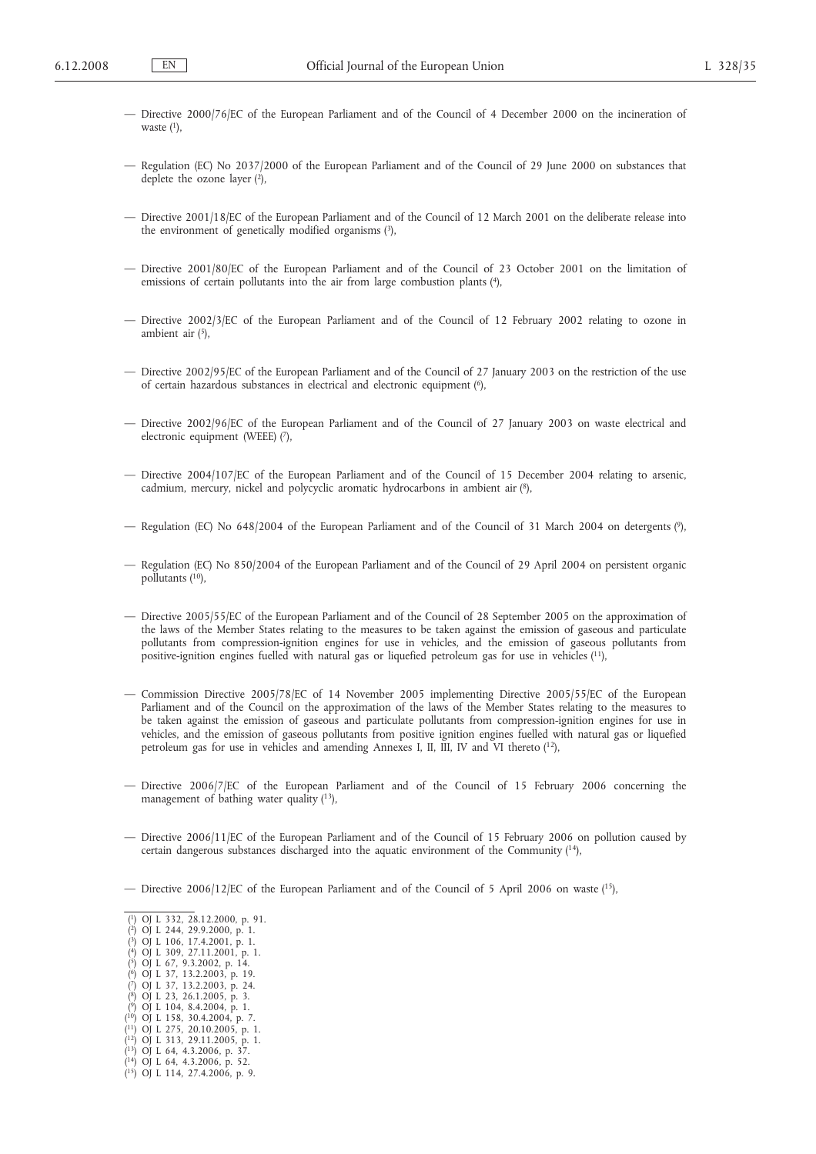- Directive 2000/76/EC of the European Parliament and of the Council of 4 December 2000 on the incineration of waste  $(1)$ ,
- Regulation (EC) No 2037/2000 of the European Parliament and of the Council of 29 June 2000 on substances that deplete the ozone layer  $(2)$ ,
- Directive 2001/18/EC of the European Parliament and of the Council of 12 March 2001 on the deliberate release into the environment of genetically modified organisms  $(3)$ ,
- Directive 2001/80/EC of the European Parliament and of the Council of 23 October 2001 on the limitation of emissions of certain pollutants into the air from large combustion plants (4),
- Directive 2002/3/EC of the European Parliament and of the Council of 12 February 2002 relating to ozone in ambient air  $(5)$ ,
- Directive 2002/95/EC of the European Parliament and of the Council of 27 January 2003 on the restriction of the use of certain hazardous substances in electrical and electronic equipment (6),
- Directive 2002/96/EC of the European Parliament and of the Council of 27 January 2003 on waste electrical and electronic equipment (WEEE)  $(7)$ ,
- Directive 2004/107/EC of the European Parliament and of the Council of 15 December 2004 relating to arsenic, cadmium, mercury, nickel and polycyclic aromatic hydrocarbons in ambient air (8),
- Regulation (EC) No 648/2004 of the European Parliament and of the Council of 31 March 2004 on detergents (9),
- Regulation (EC) No 850/2004 of the European Parliament and of the Council of 29 April 2004 on persistent organic pollutants (10),
- Directive 2005/55/EC of the European Parliament and of the Council of 28 September 2005 on the approximation of the laws of the Member States relating to the measures to be taken against the emission of gaseous and particulate pollutants from compression-ignition engines for use in vehicles, and the emission of gaseous pollutants from positive-ignition engines fuelled with natural gas or liquefied petroleum gas for use in vehicles (11),
- Commission Directive 2005/78/EC of 14 November 2005 implementing Directive 2005/55/EC of the European Parliament and of the Council on the approximation of the laws of the Member States relating to the measures to be taken against the emission of gaseous and particulate pollutants from compression-ignition engines for use in vehicles, and the emission of gaseous pollutants from positive ignition engines fuelled with natural gas or liquefied petroleum gas for use in vehicles and amending Annexes I, II, III, IV and VI thereto (12),
- Directive 2006/7/EC of the European Parliament and of the Council of 15 February 2006 concerning the management of bathing water quality (<sup>13</sup>),
- Directive 2006/11/EC of the European Parliament and of the Council of 15 February 2006 on pollution caused by certain dangerous substances discharged into the aquatic environment of the Community  $(14)$ ,
- Directive 2006/12/EC of the European Parliament and of the Council of 5 April 2006 on waste  $(15)$ ,

- ( 4) OJ L 309, 27.11.2001, p. 1.
- ( 5) OJ L 67, 9.3.2002, p. 14. ( 6) OJ L 37, 13.2.2003, p. 19. ( 7) OJ L 37, 13.2.2003, p. 24.
- 
- ( 8) OJ L 23, 26.1.2005, p. 3. ( 9) OJ L 104, 8.4.2004, p. 1.
- 
- (<sup>10</sup>) OJ L 158, 30.4.2004, p. 7.<br>(<sup>11</sup>) OJ L 275, 20.10.2005, p. 1.<br>(<sup>12</sup>) OJ L 31, 29.11.2005, p. 1.<br>(<sup>13</sup>) OJ L 64, 4.3.2006, p. 52.<br>(<sup>15</sup>) OJ L 114, 27.4.2006, p. 9.

<sup>(</sup> 1) OJ L 332, 28.12.2000, p. 91.

<sup>(</sup> 2) OJ L 244, 29.9.2000, p. 1. ( 3) OJ L 106, 17.4.2001, p. 1.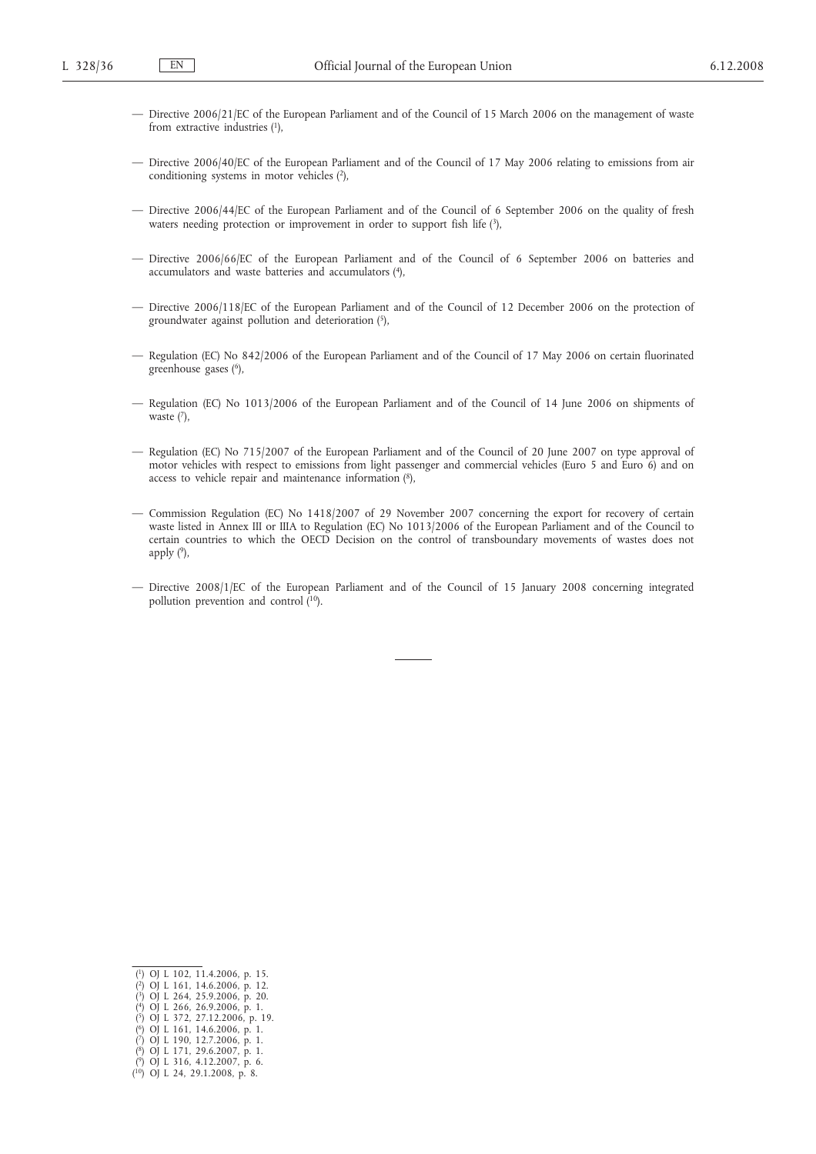- Directive 2006/21/EC of the European Parliament and of the Council of 15 March 2006 on the management of waste from extractive industries (1),
- Directive 2006/40/EC of the European Parliament and of the Council of 17 May 2006 relating to emissions from air conditioning systems in motor vehicles (2),
- Directive 2006/44/EC of the European Parliament and of the Council of 6 September 2006 on the quality of fresh waters needing protection or improvement in order to support fish life (3),
- Directive 2006/66/EC of the European Parliament and of the Council of 6 September 2006 on batteries and accumulators and waste batteries and accumulators (4),
- Directive 2006/118/EC of the European Parliament and of the Council of 12 December 2006 on the protection of groundwater against pollution and deterioration (5),
- Regulation (EC) No 842/2006 of the European Parliament and of the Council of 17 May 2006 on certain fluorinated greenhouse gases (6),
- Regulation (EC) No 1013/2006 of the European Parliament and of the Council of 14 June 2006 on shipments of waste  $(7)$ .
- Regulation (EC) No 715/2007 of the European Parliament and of the Council of 20 June 2007 on type approval of motor vehicles with respect to emissions from light passenger and commercial vehicles (Euro 5 and Euro 6) and on access to vehicle repair and maintenance information  $(8)$ ,
- Commission Regulation (EC) No 1418/2007 of 29 November 2007 concerning the export for recovery of certain waste listed in Annex III or IIIA to Regulation (EC) No 1013/2006 of the European Parliament and of the Council to certain countries to which the OECD Decision on the control of transboundary movements of wastes does not apply  $(9)$ ,
- Directive 2008/1/EC of the European Parliament and of the Council of 15 January 2008 concerning integrated pollution prevention and control (10).

<sup>(</sup> 1) OJ L 102, 11.4.2006, p. 15. ( 2) OJ L 161, 14.6.2006, p. 12. ( 3) OJ L 264, 25.9.2006, p. 20. ( 4) OJ L 266, 26.9.2006, p. 1. ( 5) OJ L 372, 27.12.2006, p. 19. (<sup>6</sup>) OJ L 161, 14.6.2006, p. 1.<br>
(<sup>2</sup>) OJ L 190, 12.7.2006, p. 1.<br>
(<sup>8</sup>) OJ L 171, 29.6.2007, p. 1.<br>
(<sup>9</sup>) OJ L 316, 4.12.2007, p. 6.<br>
(<sup>10</sup>) OJ L 24, 29.1.2008, p. 8.